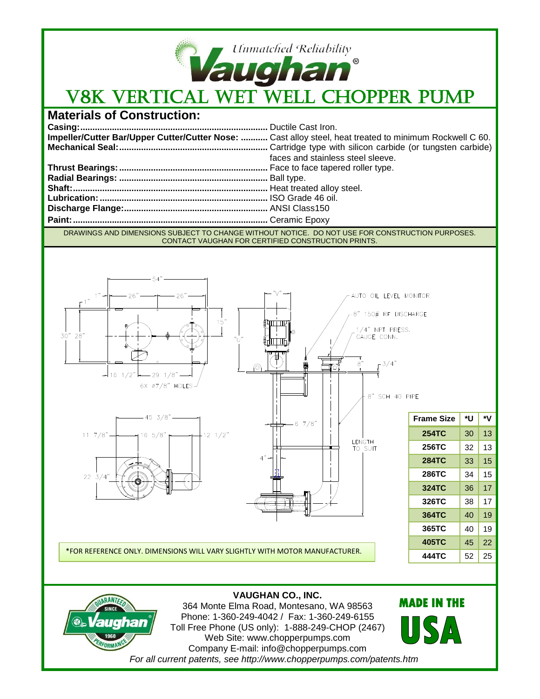

## **Materials of Construction:**

|                                                                                                 | Impeller/Cutter Bar/Upper Cutter/Cutter Nose:  Cast alloy steel, heat treated to minimum Rockwell C 60. |
|-------------------------------------------------------------------------------------------------|---------------------------------------------------------------------------------------------------------|
|                                                                                                 |                                                                                                         |
|                                                                                                 | faces and stainless steel sleeve.                                                                       |
|                                                                                                 |                                                                                                         |
|                                                                                                 |                                                                                                         |
|                                                                                                 |                                                                                                         |
|                                                                                                 |                                                                                                         |
|                                                                                                 |                                                                                                         |
|                                                                                                 |                                                                                                         |
| DRAWINGS AND DIMENSIONS SUBJECT TO CHANGE WITHOUT NOTICE. DO NOT HISE EOR CONSTRUCTION BURDOSES |                                                                                                         |

DRAWINGS AND DIMENSIONS SUBJECT TO CHANGE WITHOUT NOTICE. DO NOT USE FOR CONSTRUCTION PURPOSES. CONTACT VAUGHAN FOR CERTIFIED CONSTRUCTION PRINTS.





**VAUGHAN CO., INC.** 364 Monte Elma Road, Montesano, WA 98563 Phone: 1-360-249-4042 / Fax: 1-360-249-6155 Toll Free Phone (US only): 1-888-249-CHOP (2467) Web Site: www.chopperpumps.com Company E-mail: info@chopperpumps.com *For all current patents, see http://www.chopperpumps.com/patents.htm*